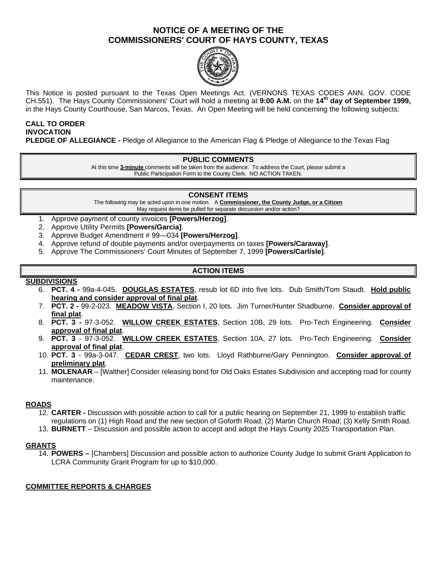## **NOTICE OF A MEETING OF THE COMMISSIONERS' COURT OF HAYS COUNTY, TEXAS**



This Notice is posted pursuant to the Texas Open Meetings Act. (VERNONS TEXAS CODES ANN. GOV. CODE CH.551). The Hays County Commissioners' Court will hold a meeting at **9:00 A.M.** on the **14th day of September 1999,**  in the Hays County Courthouse, San Marcos, Texas. An Open Meeting will be held concerning the following subjects:

#### **CALL TO ORDER INVOCATION PLEDGE OF ALLEGIANCE -** Pledge of Allegiance to the American Flag & Pledge of Allegiance to the Texas Flag

## **PUBLIC COMMENTS**

At this time **3-minute** comments will be taken from the audience. To address the Court, please submit a Public Participation Form to the County Clerk. NO ACTION TAKEN.

## **CONSENT ITEMS**

The following may be acted upon in one motion. A **Commissioner, the County Judge, or a Citizen** May request items be pulled for separate discussion and/or action?

- 1. Approve payment of county invoices **[Powers/Herzog]**.
- 2. Approve Utility Permits **[Powers/Garcia]**.
- 3. Approve Budget Amendment # 99—034 **[Powers/Herzog]**.
- 4. Approve refund of double payments and/or overpayments on taxes **[Powers/Caraway]**.
- 5. Approve The Commissioners' Court Minutes of September 7, 1999 **[Powers/Carlisle]**.

## **ACTION ITEMS**

#### **SUBDIVISIONS**

- 6. **PCT. 4 -** 99a-4-045. **DOUGLAS ESTATES**, resub lot 6D into five lots. Dub Smith/Tom Staudt. **Hold public hearing and consider approval of final plat**.
- 7. **PCT. 2 -** 99-2-023. **MEADOW VISTA**, Section I, 20 lots. Jim Turner/Hunter Shadburne. **Consider approval of final plat**.
- 8. **PCT. 3 -** 97-3-052. **WILLOW CREEK ESTATES**, Section 10B, 29 lots. Pro-Tech Engineering. **Consider approval of final plat**.
- 9. **PCT. 3** 97-3-052. **WILLOW CREEK ESTATES**, Section 10A, 27 lots. Pro-Tech Engineering. **Consider approval of final plat**.
- 10. **PCT. 3** 99a-3-047. **CEDAR CREST**, two lots. Lloyd Rathburne/Gary Pennington. **Consider approval of preliminary plat**.
- 11. **MOLENAAR** [Walther] Consider releasing bond for Old Oaks Estates Subdivision and accepting road for county maintenance.

## **ROADS**

- 12. **CARTER -** Discussion with possible action to call for a public hearing on September 21, 1999 to establish traffic regulations on (1) High Road and the new section of Goforth Road; (2) Martin Church Road; (3) Kelly Smith Road.
- 13. **BURNETT** Discussion and possible action to accept and adopt the Hays County 2025 Transportation Plan.

#### **GRANTS**

14. **POWERS –** [Chambers] Discussion and possible action to authorize County Judge to submit Grant Application to LCRA Community Grant Program for up to \$10,000.

## **COMMITTEE REPORTS & CHARGES**